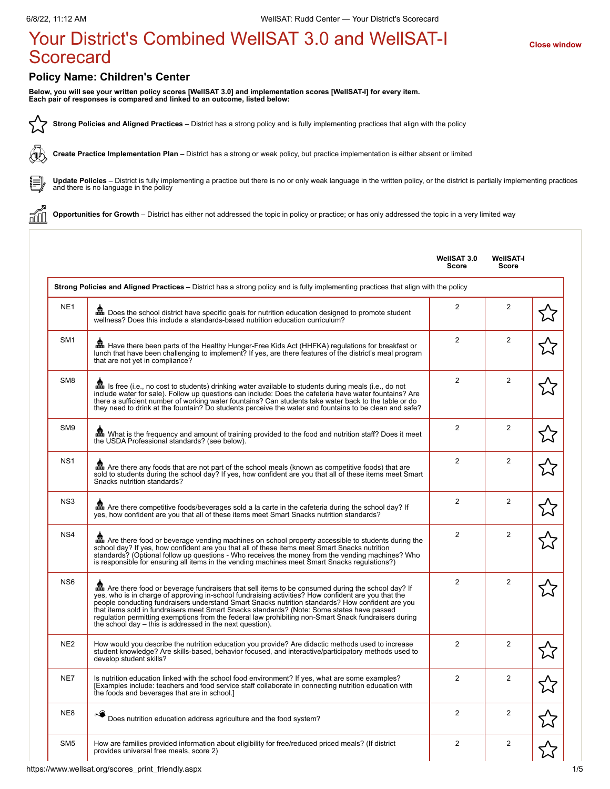## Your District's Combined WellSAT 3.0 and WellSAT-I **[Close window](javascript:close();) Scorecard**

## **Policy Name: Children's Center**

**Below, you will see your written policy scores [WellSAT 3.0] and implementation scores [WellSAT-I] for every item. Each pair of responses is compared and linked to an outcome, listed below:**

**Strong Policies and Aligned Practices** – District has a strong policy and is fully implementing practices that align with the policy 52

**Create Practice Implementation Plan** – District has a strong or weak policy, but practice implementation is either absent or limited



áí

∕Կ⊮

**Update Policies** – District is fully implementing a practice but there is no or only weak language in the written policy, or the district is partially implementing practices and there is no language in the policy

**Opportunities for Growth** – District has either not addressed the topic in policy or practice; or has only addressed the topic in a very limited way

|                 |                                                                                                                                                                                                                                                                                                                                                                                                                                                                                                                                                                               | WellSAT 3.0<br>Score | WellSAT-I<br>Score |  |
|-----------------|-------------------------------------------------------------------------------------------------------------------------------------------------------------------------------------------------------------------------------------------------------------------------------------------------------------------------------------------------------------------------------------------------------------------------------------------------------------------------------------------------------------------------------------------------------------------------------|----------------------|--------------------|--|
|                 | Strong Policies and Aligned Practices – District has a strong policy and is fully implementing practices that align with the policy                                                                                                                                                                                                                                                                                                                                                                                                                                           |                      |                    |  |
| NE <sub>1</sub> | En Does the school district have specific goals for nutrition education designed to promote student<br>wellness? Does this include a standards-based nutrition education curriculum?                                                                                                                                                                                                                                                                                                                                                                                          | $\overline{2}$       | $\overline{2}$     |  |
| SM <sub>1</sub> | ■ Have there been parts of the Healthy Hunger-Free Kids Act (HHFKA) regulations for breakfast or<br>lunch that have been challenging to implement? If yes, are there features of the district's meal program<br>that are not yet in compliance?                                                                                                                                                                                                                                                                                                                               | $\overline{2}$       | $\overline{2}$     |  |
| SM <sub>8</sub> | ■ Is free (i.e., no cost to students) drinking water available to students during meals (i.e., do not<br>include water for sale). Follow up questions can include: Does the cafeteria have water fountains? Are<br>there a sufficient number of working water fountains? Can students take water back to the table or do<br>they need to drink at the fountain? Do students perceive the water and fountains to be clean and safe?                                                                                                                                            | $\overline{2}$       | $\overline{2}$     |  |
| SM9             | Mhat is the frequency and amount of training provided to the food and nutrition staff? Does it meet<br>the USDA Professional standards? (see below).                                                                                                                                                                                                                                                                                                                                                                                                                          | 2                    | $\overline{2}$     |  |
| NS <sub>1</sub> | Are there any foods that are not part of the school meals (known as competitive foods) that are<br>sold to students during the school day? If yes, how confident are you that all of these items meet Smart<br>Snacks nutrition standards?                                                                                                                                                                                                                                                                                                                                    | $\overline{2}$       | $\overline{2}$     |  |
| NS <sub>3</sub> | man Are there competitive foods/beverages sold a la carte in the cafeteria during the school day? If<br>yes, how confident are you that all of these items meet Smart Snacks nutrition standards?                                                                                                                                                                                                                                                                                                                                                                             | $\overline{2}$       | $\overline{c}$     |  |
| NS4             | man Are there food or beverage vending machines on school property accessible to students during the<br>school day? If yes, how confident are you that all of these items meet Smart Snacks nutrition<br>standards? (Optional follow up questions - Who receives the money from the vending machines? Who<br>is responsible for ensuring all items in the vending machines meet Smart Snacks regulations?)                                                                                                                                                                    | 2                    | $\overline{2}$     |  |
| NS <sub>6</sub> | Are there food or beverage fundraisers that sell items to be consumed during the school day? If<br>yes, who is in charge of approving in-school fundraising activities? How confident are you that the<br>people conducting fundraisers understand Smart Snacks nutrition standards? How confident are you<br>that items sold in fundraisers meet Smart Snacks standards? (Note: Some states have passed<br>regulation permitting exemptions from the federal law prohibiting non-Smart Snack fundraisers during<br>the school day – this is addressed in the next question). | $\overline{2}$       | $\overline{2}$     |  |
| NE <sub>2</sub> | How would you describe the nutrition education you provide? Are didactic methods used to increase<br>student knowledge? Are skills-based, behavior focused, and interactive/participatory methods used to<br>develop student skills?                                                                                                                                                                                                                                                                                                                                          | $\overline{2}$       | $\overline{2}$     |  |
| NE7             | Is nutrition education linked with the school food environment? If yes, what are some examples?<br>[Examples include: teachers and food service staff collaborate in connecting nutrition education with<br>the foods and beverages that are in school.]                                                                                                                                                                                                                                                                                                                      | $\overline{2}$       | $\overline{2}$     |  |
| NE8             | Does nutrition education address agriculture and the food system?                                                                                                                                                                                                                                                                                                                                                                                                                                                                                                             | $\overline{2}$       | $\overline{c}$     |  |
| SM <sub>5</sub> | How are families provided information about eligibility for free/reduced priced meals? (If district<br>provides universal free meals, score 2)                                                                                                                                                                                                                                                                                                                                                                                                                                | $\overline{2}$       | 2                  |  |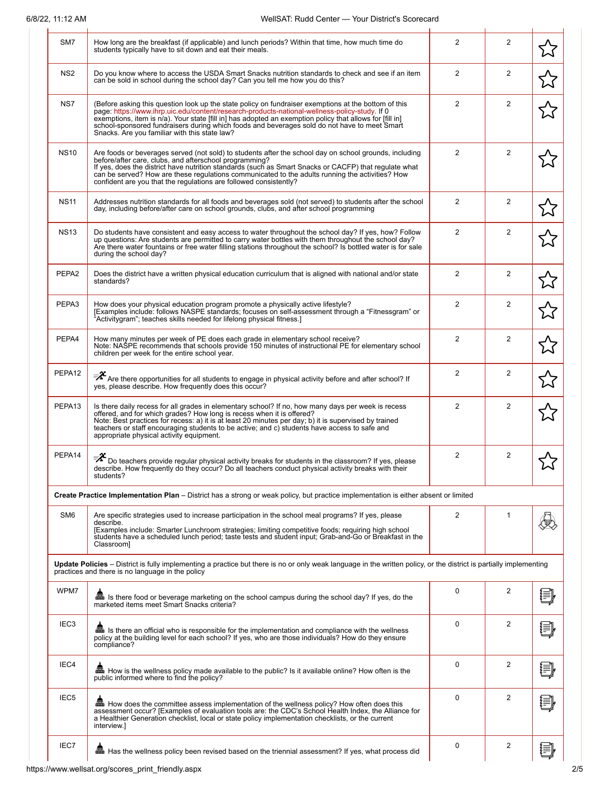| SM7                | How long are the breakfast (if applicable) and lunch periods? Within that time, how much time do<br>students typically have to sit down and eat their meals.                                                                                                                                                                                                                                                                                                       | 2              | 2              |  |
|--------------------|--------------------------------------------------------------------------------------------------------------------------------------------------------------------------------------------------------------------------------------------------------------------------------------------------------------------------------------------------------------------------------------------------------------------------------------------------------------------|----------------|----------------|--|
| NS <sub>2</sub>    | Do you know where to access the USDA Smart Snacks nutrition standards to check and see if an item<br>can be sold in school during the school day? Can you tell me how you do this?                                                                                                                                                                                                                                                                                 | $\overline{2}$ | 2              |  |
| NS7                | (Before asking this question look up the state policy on fundraiser exemptions at the bottom of this<br>page: https://www.ihrp.uic.edu/content/research-products-national-wellness-policy-study. If 0<br>exemptions, item is n/a). Your state [fill in] has adopted an exemption policy that allows for [fill in]<br>school-sponsored fundraisers during which foods and beverages sold do not have to meet Smart<br>Snacks. Are you familiar with this state law? | $\overline{2}$ | $\overline{2}$ |  |
| <b>NS10</b>        | Are foods or beverages served (not sold) to students after the school day on school grounds, including<br>before/after care, clubs, and afterschool programming?<br>If yes, does the district have nutrition standards (such as Smart Snacks or CACFP) that regulate what<br>can be served? How are these regulations communicated to the adults running the activities? How<br>confident are you that the regulations are followed consistently?                  | $\overline{2}$ | $\overline{2}$ |  |
| <b>NS11</b>        | Addresses nutrition standards for all foods and beverages sold (not served) to students after the school<br>day, including before/after care on school grounds, clubs, and after school programming                                                                                                                                                                                                                                                                | $\overline{2}$ | 2              |  |
| <b>NS13</b>        | Do students have consistent and easy access to water throughout the school day? If yes, how? Follow<br>up questions: Are students are permitted to carry water bottles with them throughout the school day?<br>Are there water fountains or free water filling stations throughout the school? Is bottled water is for sale<br>during the school day?                                                                                                              | $\overline{2}$ | 2              |  |
| PEPA <sub>2</sub>  | Does the district have a written physical education curriculum that is aligned with national and/or state<br>standards?                                                                                                                                                                                                                                                                                                                                            | $\overline{2}$ | 2              |  |
| PEPA3              | How does your physical education program promote a physically active lifestyle?<br>[Examples include: follows NASPE standards; focuses on self-assessment through a "Fitnessgram" or<br>"Activitygram"; teaches skills needed for lifelong physical fitness.]                                                                                                                                                                                                      | 2              | 2              |  |
| PEPA4              | How many minutes per week of PE does each grade in elementary school receive?<br>Note: NASPE recommends that schools provide 150 minutes of instructional PE for elementary school<br>children per week for the entire school year.                                                                                                                                                                                                                                | 2              | 2              |  |
| PEPA12             | $\bar{\mathscr{F}}$ Are there opportunities for all students to engage in physical activity before and after school? If<br>yes, please describe. How frequently does this occur?                                                                                                                                                                                                                                                                                   | $\overline{2}$ | 2              |  |
| PEPA <sub>13</sub> | Is there daily recess for all grades in elementary school? If no, how many days per week is recess<br>offered, and for which grades? How long is recess when it is offered?<br>Note: Best practices for recess: a) it is at least 20 minutes per day; b) it is supervised by trained<br>teachers or staff encouraging students to be active; and c) students have access to safe and<br>appropriate physical activity equipment.                                   | $\overline{2}$ | 2              |  |
| PEPA14             | $\bar{P}^2$ Do teachers provide regular physical activity breaks for students in the classroom? If yes, please describe. How frequently do they occur? Do all teachers conduct physical activity breaks with their<br>students?                                                                                                                                                                                                                                    | $\overline{2}$ | 2              |  |
|                    | Create Practice Implementation Plan – District has a strong or weak policy, but practice implementation is either absent or limited                                                                                                                                                                                                                                                                                                                                |                |                |  |
| SM <sub>6</sub>    | Are specific strategies used to increase participation in the school meal programs? If yes, please<br>describe.<br>[Examples include: Smarter Lunchroom strategies; limiting competitive foods; requiring high school<br>students have a scheduled lunch period; taste tests and student input; Grab-and-Go or Breakfast in the<br>Classroom]                                                                                                                      | 2              | $\mathbf{1}$   |  |
|                    | Update Policies – District is fully implementing a practice but there is no or only weak language in the written policy, or the district is partially implementing<br>practices and there is no language in the policy                                                                                                                                                                                                                                             |                |                |  |
| WPM7               | Is there food or beverage marketing on the school campus during the school day? If yes, do the<br>marketed items meet Smart Snacks criteria?                                                                                                                                                                                                                                                                                                                       | 0              | 2              |  |
| IEC <sub>3</sub>   | lian is there an official who is responsible for the implementation and compliance with the wellness<br>policy at the building level for each school? If yes, who are those individuals? How do they ensure<br>compliance?                                                                                                                                                                                                                                         | 0              | 2              |  |
| IEC4               | man How is the wellness policy made available to the public? Is it available online? How often is the<br>public informed where to find the policy?                                                                                                                                                                                                                                                                                                                 | $\mathbf 0$    | 2              |  |
| IEC <sub>5</sub>   | <b>品</b> How does the committee assess implementation of the wellness policy? How often does this<br>assessment occur? [Examples of evaluation tools are: the CDC's School Health Index, the Alliance for<br>a Healthier Generation checklist, local or state policy implementation checklists, or the current<br>interview.]                                                                                                                                      | $\mathbf 0$    | 2              |  |
| IEC7               | <b>品</b> Has the wellness policy been revised based on the triennial assessment? If yes, what process did                                                                                                                                                                                                                                                                                                                                                          | 0              | 2              |  |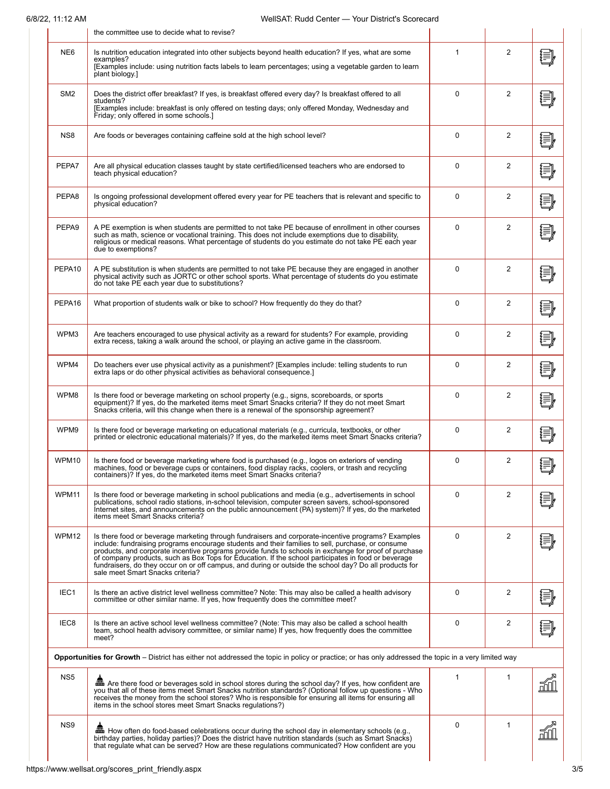|                  | the committee use to decide what to revise?                                                                                                                                                                                                                                                                                                                                                                                                                                                                                                                           |              |                |       |
|------------------|-----------------------------------------------------------------------------------------------------------------------------------------------------------------------------------------------------------------------------------------------------------------------------------------------------------------------------------------------------------------------------------------------------------------------------------------------------------------------------------------------------------------------------------------------------------------------|--------------|----------------|-------|
| NE <sub>6</sub>  | Is nutrition education integrated into other subjects beyond health education? If yes, what are some<br>examples?<br>[Examples include: using nutrition facts labels to learn percentages; using a vegetable garden to learn<br>plant biology.]                                                                                                                                                                                                                                                                                                                       | 1            | 2              | 這】    |
| SM <sub>2</sub>  | Does the district offer breakfast? If yes, is breakfast offered every day? Is breakfast offered to all<br>students?<br>[Examples include: breakfast is only offered on testing days; only offered Monday, Wednesday and<br>Friday; only offered in some schools.]                                                                                                                                                                                                                                                                                                     | $\Omega$     | $\overline{2}$ | ∤≣≸   |
| NS8              | Are foods or beverages containing caffeine sold at the high school level?                                                                                                                                                                                                                                                                                                                                                                                                                                                                                             | $\mathbf 0$  | 2              | ₩     |
| PEPA7            | Are all physical education classes taught by state certified/licensed teachers who are endorsed to<br>teach physical education?                                                                                                                                                                                                                                                                                                                                                                                                                                       | 0            | $\overline{2}$ | 這     |
| PEPA8            | Is ongoing professional development offered every year for PE teachers that is relevant and specific to<br>physical education?                                                                                                                                                                                                                                                                                                                                                                                                                                        | 0            | 2              | ξ     |
| PEPA9            | A PE exemption is when students are permitted to not take PE because of enrollment in other courses<br>such as math, science or vocational training. This does not include exemptions due to disability,<br>religious or medical reasons. What percentage of students do you estimate do not take PE each year<br>due to exemptions?                                                                                                                                                                                                                                  | $\Omega$     | 2              |       |
| PEPA10           | A PE substitution is when students are permitted to not take PE because they are engaged in another<br>physical activity such as JORTC or other school sports. What percentage of students do you estimate<br>do not take PE each year due to substitutions?                                                                                                                                                                                                                                                                                                          | 0            | 2              |       |
| PEPA16           | What proportion of students walk or bike to school? How frequently do they do that?                                                                                                                                                                                                                                                                                                                                                                                                                                                                                   | 0            | 2              |       |
| WPM3             | Are teachers encouraged to use physical activity as a reward for students? For example, providing<br>extra recess, taking a walk around the school, or playing an active game in the classroom.                                                                                                                                                                                                                                                                                                                                                                       | $\mathbf{0}$ | 2              | ξ     |
| WPM4             | Do teachers ever use physical activity as a punishment? [Examples include: telling students to run<br>extra laps or do other physical activities as behavioral consequence.]                                                                                                                                                                                                                                                                                                                                                                                          | 0            | 2              | 闫     |
| WPM8             | Is there food or beverage marketing on school property (e.g., signs, scoreboards, or sports<br>equipment)? If yes, do the marketed items meet Smart Snacks criteria? If they do not meet Smart<br>Snacks criteria, will this change when there is a renewal of the sponsorship agreement?                                                                                                                                                                                                                                                                             | 0            | 2              | {≣}   |
| WPM9             | Is there food or beverage marketing on educational materials (e.g., curricula, textbooks, or other<br>printed or electronic educational materials)? If yes, do the marketed items meet Smart Snacks criteria?                                                                                                                                                                                                                                                                                                                                                         | $\Omega$     | 2              | ξ     |
| WPM10            | Is there food or beverage marketing where food is purchased (e.g., logos on exteriors of vending<br>machines, food or beverage cups or containers, food display racks, coolers, or trash and recycling<br>containers)? If yes, do the marketed items meet Smart Snacks criteria?                                                                                                                                                                                                                                                                                      | 0            | 2              | 目     |
| WPM11            | Is there food or beverage marketing in school publications and media (e.g., advertisements in school<br>publications, school radio stations, in-school television, computer screen savers, school-sponsored<br>Internet sites, and announcements on the public announcement (PA) system)? If yes, do the marketed<br>items meet Smart Snacks criteria?                                                                                                                                                                                                                | 0            | 2              |       |
| WPM12            | Is there food or beverage marketing through fundraisers and corporate-incentive programs? Examples<br>include: fundraising programs encourage students and their families to sell, purchase, or consume<br>products, and corporate incentive programs provide funds to schools in exchange for proof of purchase<br>of company products, such as Box Tops for Education. If the school participates in food or beverage<br>fundraisers, do they occur on or off campus, and during or outside the school day? Do all products for<br>sale meet Smart Snacks criteria? | 0            | 2              |       |
| IEC1             | Is there an active district level wellness committee? Note: This may also be called a health advisory<br>committee or other similar name. If yes, how frequently does the committee meet?                                                                                                                                                                                                                                                                                                                                                                             | 0            | 2              |       |
| IEC <sub>8</sub> | Is there an active school level wellness committee? (Note: This may also be called a school health<br>team, school health advisory committee, or similar name) If yes, how frequently does the committee<br>meet?                                                                                                                                                                                                                                                                                                                                                     | 0            | 2              |       |
|                  | Opportunities for Growth – District has either not addressed the topic in policy or practice; or has only addressed the topic in a very limited way                                                                                                                                                                                                                                                                                                                                                                                                                   |              |                |       |
| NS <sub>5</sub>  | man Are there food or beverages sold in school stores during the school day? If yes, how confident are<br>you that all of these items meet Smart Snacks nutrition standards? (Optional follow up questions - Who<br>receives the money from the school stores? Who is responsible for ensuring all items for ensuring all<br>items in the school stores meet Smart Snacks regulations?)                                                                                                                                                                               | 1            | 1              |       |
| NS <sub>9</sub>  | birthday parties, holiday parties)? Does the district have nutrition standards (such as Smart Snacks)<br>that regulate what can be served? How are these regulations communicated? How confident are you                                                                                                                                                                                                                                                                                                                                                              | 0            | $\mathbf{1}$   | اللهم |
|                  |                                                                                                                                                                                                                                                                                                                                                                                                                                                                                                                                                                       |              |                |       |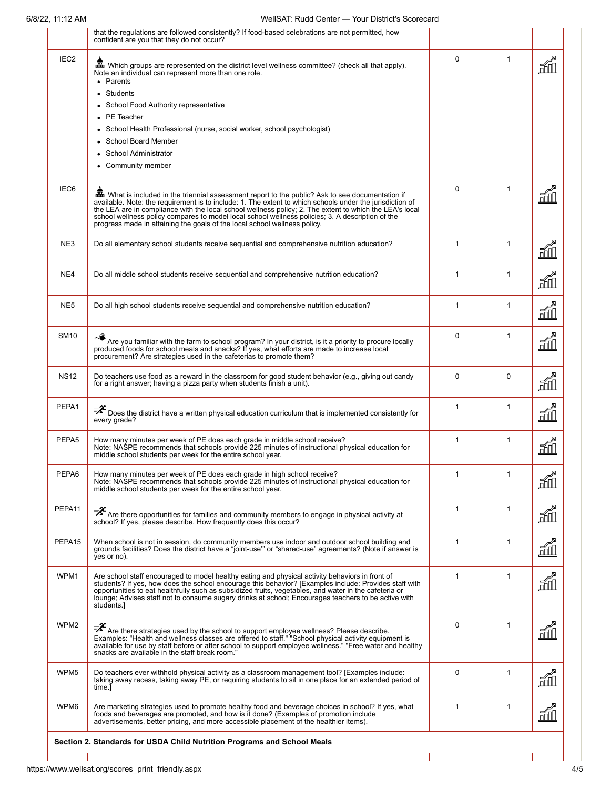|                  | that the regulations are followed consistently? If food-based celebrations are not permitted, how<br>confident are you that they do not occur?                                                                                                                                                                                                                                                                                                                                                         |              |              |             |
|------------------|--------------------------------------------------------------------------------------------------------------------------------------------------------------------------------------------------------------------------------------------------------------------------------------------------------------------------------------------------------------------------------------------------------------------------------------------------------------------------------------------------------|--------------|--------------|-------------|
| IEC <sub>2</sub> | Note an individual can represent more than one role.<br>• Parents<br>Students<br>School Food Authority representative<br>PE Teacher<br>School Health Professional (nurse, social worker, school psychologist)<br><b>School Board Member</b><br><b>School Administrator</b><br>• Community member                                                                                                                                                                                                       | $\Omega$     | $\mathbf{1}$ | ⊓ I⊓        |
| IEC <sub>6</sub> | Mhat is included in the triennial assessment report to the public? Ask to see documentation if<br>available. Note: the requirement is to include: 1. The extent to which schools under the jurisdiction of<br>the LEA are in compliance with the local school wellness policy; 2. The extent to which the LEA's local<br>school wellness policy compares to model local school wellness policies; 3. A description of the<br>progress made in attaining the goals of the local school wellness policy. | $\Omega$     | $\mathbf{1}$ |             |
| NE3              | Do all elementary school students receive sequential and comprehensive nutrition education?                                                                                                                                                                                                                                                                                                                                                                                                            | $\mathbf{1}$ | $\mathbf{1}$ | 血           |
| NE4              | Do all middle school students receive sequential and comprehensive nutrition education?                                                                                                                                                                                                                                                                                                                                                                                                                | $\mathbf{1}$ | 1            | ăШ          |
| NE5              | Do all high school students receive sequential and comprehensive nutrition education?                                                                                                                                                                                                                                                                                                                                                                                                                  | $\mathbf{1}$ | $\mathbf{1}$ | 副           |
| <b>SM10</b>      | Are you familiar with the farm to school program? In your district, is it a priority to procure locally produced foods for school meals and snacks? If yes, what efforts are made to increase local<br>procurement? Are strategies used in the cafeterias to promote them?                                                                                                                                                                                                                             | $\Omega$     | $\mathbf{1}$ | M           |
| <b>NS12</b>      | Do teachers use food as a reward in the classroom for good student behavior (e.g., giving out candy<br>for a right answer; having a pizza party when students finish a unit).                                                                                                                                                                                                                                                                                                                          | $\Omega$     | $\Omega$     | 而儿          |
| PEPA1            | $\bar{\mathscr{F}}$ Does the district have a written physical education curriculum that is implemented consistently for<br>every grade?                                                                                                                                                                                                                                                                                                                                                                | 1            | $\mathbf 1$  | ii          |
| PEPA5            | How many minutes per week of PE does each grade in middle school receive?<br>Note: NASPE recommends that schools provide 225 minutes of instructional physical education for<br>middle school students per week for the entire school year.                                                                                                                                                                                                                                                            | 1            | 1            | 副           |
| PEPA6            | How many minutes per week of PE does each grade in high school receive?<br>Note: NASPE recommends that schools provide 225 minutes of instructional physical education for<br>middle school students per week for the entire school year.                                                                                                                                                                                                                                                              |              |              | 쩾           |
| PEPA11           | $\bar{z}^2$ Are there opportunities for families and community members to engage in physical activity at school? If yes, please describe. How frequently does this occur?                                                                                                                                                                                                                                                                                                                              | $\mathbf{1}$ | $\mathbf{1}$ | m           |
| PEPA15           | When school is not in session, do community members use indoor and outdoor school building and<br>grounds facilities? Does the district have a "joint-use" or "shared-use" agreements? (Note if answer is<br>yes or no).                                                                                                                                                                                                                                                                               | $\mathbf{1}$ | 1            | <u>mu</u>   |
| WPM1             | Are school staff encouraged to model healthy eating and physical activity behaviors in front of<br>students? If yes, how does the school encourage this behavior? [Examples include: Provides staff with<br>opportunities to eat healthfully such as subsidized fruits, vegetables, and water in the cafeteria or<br>lounge; Advises staff not to consume sugary drinks at school; Encourages teachers to be active with<br>students.]                                                                 | $\mathbf{1}$ | $\mathbf{1}$ | <u>mu</u>   |
| WPM2             | $\overrightarrow{A}$ Are there strategies used by the school to support employee wellness? Please describe.<br>Examples: "Health and wellness classes are offered to staff." "School physical activity equipment is<br>available for use by staff before or after school to support employee wellness." "Free water and healthy<br>snacks are available in the staff break room."                                                                                                                      | $\Omega$     | $\mathbf{1}$ | Fill        |
| WPM <sub>5</sub> | Do teachers ever withhold physical activity as a classroom management tool? [Examples include:<br>taking away recess, taking away PE, or requiring students to sit in one place for an extended period of<br>time.1                                                                                                                                                                                                                                                                                    | 0            | $\mathbf{1}$ | <u>Fill</u> |
| WPM6             | Are marketing strategies used to promote healthy food and beverage choices in school? If yes, what<br>foods and beverages are promoted, and how is it done? (Examples of promotion include<br>advertisements, better pricing, and more accessible placement of the healthier items).                                                                                                                                                                                                                   | $\mathbf{1}$ | $\mathbf{1}$ | õN          |

Г

 $\mathbf{I}$ 

 $\mathbf{I}$ 

-1